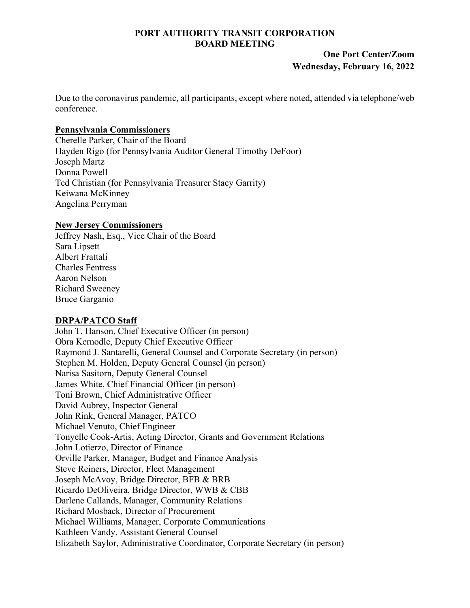### **PORT AUTHORITY TRANSIT CORPORATION BOARD MEETING**

# **One Port Center/Zoom Wednesday, February 16, 2022**

Due to the coronavirus pandemic, all participants, except where noted, attended via telephone/web conference.

## **Pennsylvania Commissioners**

Cherelle Parker, Chair of the Board Hayden Rigo (for Pennsylvania Auditor General Timothy DeFoor) Joseph Martz Donna Powell Ted Christian (for Pennsylvania Treasurer Stacy Garrity) Keiwana McKinney Angelina Perryman

## **New Jersey Commissioners**

Jeffrey Nash, Esq., Vice Chair of the Board Sara Lipsett Albert Frattali Charles Fentress Aaron Nelson Richard Sweeney Bruce Garganio

## **DRPA/PATCO Staff**

John T. Hanson, Chief Executive Officer (in person) Obra Kernodle, Deputy Chief Executive Officer Raymond J. Santarelli, General Counsel and Corporate Secretary (in person) Stephen M. Holden, Deputy General Counsel (in person) Narisa Sasitorn, Deputy General Counsel James White, Chief Financial Officer (in person) Toni Brown, Chief Administrative Officer David Aubrey, Inspector General John Rink, General Manager, PATCO Michael Venuto, Chief Engineer Tonyelle Cook-Artis, Acting Director, Grants and Government Relations John Lotierzo, Director of Finance Orville Parker, Manager, Budget and Finance Analysis Steve Reiners, Director, Fleet Management Joseph McAvoy, Bridge Director, BFB & BRB Ricardo DeOliveira, Bridge Director, WWB & CBB Darlene Callands, Manager, Community Relations Richard Mosback, Director of Procurement Michael Williams, Manager, Corporate Communications Kathleen Vandy, Assistant General Counsel Elizabeth Saylor, Administrative Coordinator, Corporate Secretary (in person)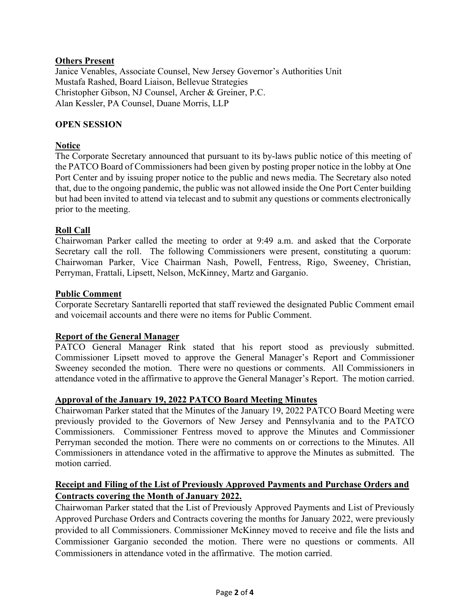## **Others Present**

Janice Venables, Associate Counsel, New Jersey Governor's Authorities Unit Mustafa Rashed, Board Liaison, Bellevue Strategies Christopher Gibson, NJ Counsel, Archer & Greiner, P.C. Alan Kessler, PA Counsel, Duane Morris, LLP

## **OPEN SESSION**

## **Notice**

The Corporate Secretary announced that pursuant to its by-laws public notice of this meeting of the PATCO Board of Commissioners had been given by posting proper notice in the lobby at One Port Center and by issuing proper notice to the public and news media. The Secretary also noted that, due to the ongoing pandemic, the public was not allowed inside the One Port Center building but had been invited to attend via telecast and to submit any questions or comments electronically prior to the meeting.

## **Roll Call**

Chairwoman Parker called the meeting to order at 9:49 a.m. and asked that the Corporate Secretary call the roll. The following Commissioners were present, constituting a quorum: Chairwoman Parker, Vice Chairman Nash, Powell, Fentress, Rigo, Sweeney, Christian, Perryman, Frattali, Lipsett, Nelson, McKinney, Martz and Garganio.

### **Public Comment**

Corporate Secretary Santarelli reported that staff reviewed the designated Public Comment email and voicemail accounts and there were no items for Public Comment.

### **Report of the General Manager**

PATCO General Manager Rink stated that his report stood as previously submitted. Commissioner Lipsett moved to approve the General Manager's Report and Commissioner Sweeney seconded the motion. There were no questions or comments. All Commissioners in attendance voted in the affirmative to approve the General Manager's Report. The motion carried.

#### **Approval of the January 19, 2022 PATCO Board Meeting Minutes**

Chairwoman Parker stated that the Minutes of the January 19, 2022 PATCO Board Meeting were previously provided to the Governors of New Jersey and Pennsylvania and to the PATCO Commissioners. Commissioner Fentress moved to approve the Minutes and Commissioner Perryman seconded the motion. There were no comments on or corrections to the Minutes. All Commissioners in attendance voted in the affirmative to approve the Minutes as submitted. The motion carried.

## **Receipt and Filing of the List of Previously Approved Payments and Purchase Orders and Contracts covering the Month of January 2022.**

Chairwoman Parker stated that the List of Previously Approved Payments and List of Previously Approved Purchase Orders and Contracts covering the months for January 2022, were previously provided to all Commissioners. Commissioner McKinney moved to receive and file the lists and Commissioner Garganio seconded the motion. There were no questions or comments. All Commissioners in attendance voted in the affirmative. The motion carried.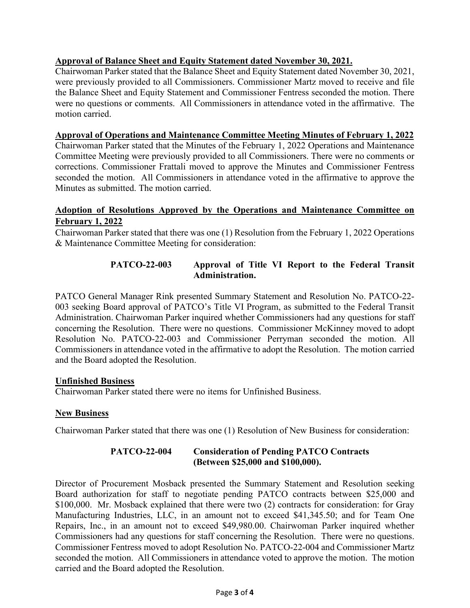## **Approval of Balance Sheet and Equity Statement dated November 30, 2021.**

Chairwoman Parker stated that the Balance Sheet and Equity Statement dated November 30, 2021, were previously provided to all Commissioners. Commissioner Martz moved to receive and file the Balance Sheet and Equity Statement and Commissioner Fentress seconded the motion. There were no questions or comments. All Commissioners in attendance voted in the affirmative. The motion carried.

### **Approval of Operations and Maintenance Committee Meeting Minutes of February 1, 2022**

Chairwoman Parker stated that the Minutes of the February 1, 2022 Operations and Maintenance Committee Meeting were previously provided to all Commissioners. There were no comments or corrections. Commissioner Frattali moved to approve the Minutes and Commissioner Fentress seconded the motion. All Commissioners in attendance voted in the affirmative to approve the Minutes as submitted. The motion carried.

## **Adoption of Resolutions Approved by the Operations and Maintenance Committee on February 1, 2022**

Chairwoman Parker stated that there was one (1) Resolution from the February 1, 2022 Operations & Maintenance Committee Meeting for consideration:

## **PATCO-22-003 Approval of Title VI Report to the Federal Transit Administration.**

PATCO General Manager Rink presented Summary Statement and Resolution No. PATCO-22- 003 seeking Board approval of PATCO's Title VI Program, as submitted to the Federal Transit Administration. Chairwoman Parker inquired whether Commissioners had any questions for staff concerning the Resolution. There were no questions. Commissioner McKinney moved to adopt Resolution No. PATCO-22-003 and Commissioner Perryman seconded the motion. All Commissioners in attendance voted in the affirmative to adopt the Resolution. The motion carried and the Board adopted the Resolution.

### **Unfinished Business**

Chairwoman Parker stated there were no items for Unfinished Business.

### **New Business**

Chairwoman Parker stated that there was one (1) Resolution of New Business for consideration:

## **PATCO-22-004 Consideration of Pending PATCO Contracts (Between \$25,000 and \$100,000).**

Director of Procurement Mosback presented the Summary Statement and Resolution seeking Board authorization for staff to negotiate pending PATCO contracts between \$25,000 and \$100,000. Mr. Mosback explained that there were two (2) contracts for consideration: for Gray Manufacturing Industries, LLC, in an amount not to exceed \$41,345.50; and for Team One Repairs, Inc., in an amount not to exceed \$49,980.00. Chairwoman Parker inquired whether Commissioners had any questions for staff concerning the Resolution. There were no questions. Commissioner Fentress moved to adopt Resolution No. PATCO-22-004 and Commissioner Martz seconded the motion. All Commissioners in attendance voted to approve the motion. The motion carried and the Board adopted the Resolution.